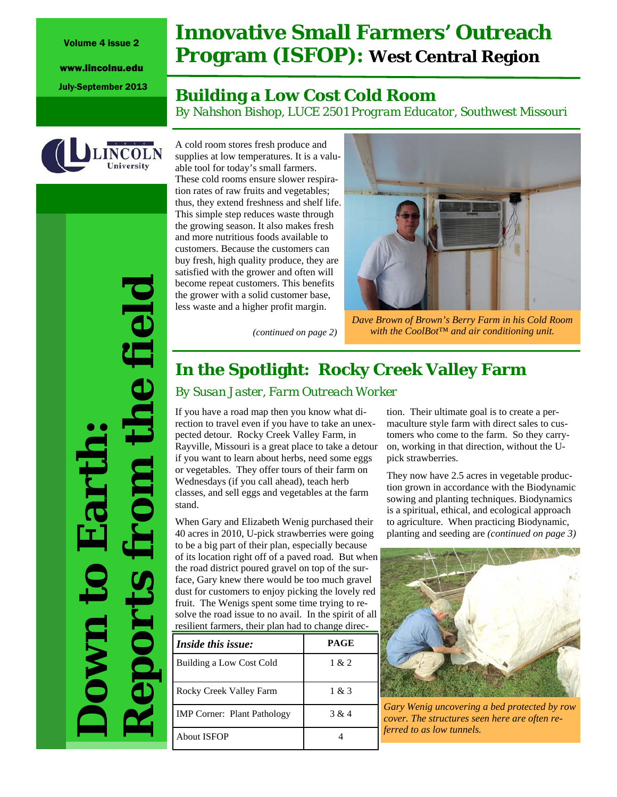Volume 4 issue 2

www.lincolnu.edu

# **Innovative Small Farmers' Outreach Program (ISFOP): West Central Region**

# July-September 2013 **Building a Low Cost Cold Room**

*By Nahshon Bishop, LUCE 2501 Program Educator, Southwest Missouri* 



**Down to Earth:** *Reports from the field* 

the field

These cold rooms ensure slower respiration rates of raw fruits and vegetables; thus, they extend freshness and shelf life. This simple step reduces waste through the growing season. It also makes fresh and more nutritious foods available to customers. Because the customers can buy fresh, high quality produce, they are satisfied with the grower and often will become repeat customers. This benefits the grower with a solid customer base, less waste and a higher profit margin.

A cold room stores fresh produce and

able tool for today's small farmers.



*Dave Brown of Brown's Berry Farm in his Cold Room (continued on page 2) with the CoolBot*™ *and air conditioning unit.* 

# **In the Spotlight: Rocky Creek Valley Farm**

## *By Susan Jaster, Farm Outreach Worker*

If you have a road map then you know what direction to travel even if you have to take an unexpected detour. Rocky Creek Valley Farm, in Rayville, Missouri is a great place to take a detour if you want to learn about herbs, need some eggs or vegetables. They offer tours of their farm on Wednesdays (if you call ahead), teach herb classes, and sell eggs and vegetables at the farm stand.

When Gary and Elizabeth Wenig purchased their 40 acres in 2010, U-pick strawberries were going to be a big part of their plan, especially because of its location right off of a paved road. But when the road district poured gravel on top of the surface, Gary knew there would be too much gravel dust for customers to enjoy picking the lovely red fruit. The Wenigs spent some time trying to resolve the road issue to no avail. In the spirit of all resilient farmers, their plan had to change direc-

| <i>Inside this issue:</i>          | PAGE  |
|------------------------------------|-------|
| Building a Low Cost Cold           | 1 & 2 |
| Rocky Creek Valley Farm            | 1 & 3 |
| <b>IMP</b> Corner: Plant Pathology | 3 & 4 |
| About ISFOP                        |       |

tion. Their ultimate goal is to create a permaculture style farm with direct sales to customers who come to the farm. So they carryon, working in that direction, without the Upick strawberries.

They now have 2.5 acres in vegetable production grown in accordance with the Biodynamic sowing and planting techniques. Biodynamics is a spiritual, ethical, and ecological approach to agriculture. When practicing Biodynamic, planting and seeding are *(continued on page 3)*



*Gary Wenig uncovering a bed protected by row cover. The structures seen here are often referred to as low tunnels.*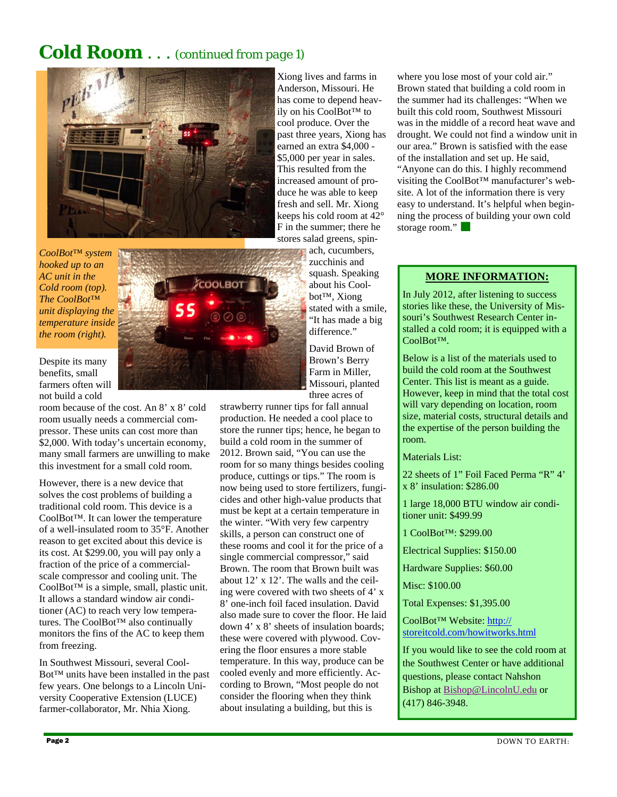# **Cold Room** . . . *(continued from page 1)*



*CoolBot*™ *system hooked up to an AC unit in the Cold room (top). The CoolBot*™ *unit displaying the temperature inside the room (right).* 

Despite its many benefits, small farmers often will not build a cold

room because of the cost. An 8' x 8' cold room usually needs a commercial compressor. These units can cost more than \$2,000. With today's uncertain economy, many small farmers are unwilling to make this investment for a small cold room.

However, there is a new device that solves the cost problems of building a traditional cold room. This device is a CoolBot™. It can lower the temperature of a well-insulated room to 35°F. Another reason to get excited about this device is its cost. At \$299.00, you will pay only a fraction of the price of a commercialscale compressor and cooling unit. The CoolBot™ is a simple, small, plastic unit. It allows a standard window air conditioner (AC) to reach very low temperatures. The CoolBot™ also continually monitors the fins of the AC to keep them from freezing.

In Southwest Missouri, several Cool-Bot™ units have been installed in the past few years. One belongs to a Lincoln University Cooperative Extension (LUCE) farmer-collaborator, Mr. Nhia Xiong.

Xiong lives and farms in Anderson, Missouri. He has come to depend heavily on his CoolBot™ to cool produce. Over the past three years, Xiong has earned an extra \$4,000 - \$5,000 per year in sales. This resulted from the increased amount of produce he was able to keep fresh and sell. Mr. Xiong keeps his cold room at 42° F in the summer; there he stores salad greens, spin-

ach, cucumbers, zucchinis and squash. Speaking about his Coolbot™, Xiong stated with a smile, "It has made a big difference."

David Brown of Brown's Berry Farm in Miller, Missouri, planted three acres of

strawberry runner tips for fall annual production. He needed a cool place to store the runner tips; hence, he began to build a cold room in the summer of 2012. Brown said, "You can use the room for so many things besides cooling produce, cuttings or tips." The room is now being used to store fertilizers, fungicides and other high-value products that must be kept at a certain temperature in the winter. "With very few carpentry skills, a person can construct one of these rooms and cool it for the price of a single commercial compressor," said Brown. The room that Brown built was about 12' x 12'. The walls and the ceiling were covered with two sheets of 4' x 8' one-inch foil faced insulation. David also made sure to cover the floor. He laid down 4' x 8' sheets of insulation boards; these were covered with plywood. Covering the floor ensures a more stable temperature. In this way, produce can be cooled evenly and more efficiently. According to Brown, "Most people do not consider the flooring when they think about insulating a building, but this is

where you lose most of your cold air." Brown stated that building a cold room in the summer had its challenges: "When we built this cold room, Southwest Missouri was in the middle of a record heat wave and drought. We could not find a window unit in our area." Brown is satisfied with the ease of the installation and set up. He said, "Anyone can do this. I highly recommend visiting the CoolBot™ manufacturer's website. A lot of the information there is very easy to understand. It's helpful when beginning the process of building your own cold

## **MORE INFORMATION:**

In July 2012, after listening to success stories like these, the University of Missouri's Southwest Research Center installed a cold room; it is equipped with a CoolBot™.

Below is a list of the materials used to build the cold room at the Southwest Center. This list is meant as a guide. However, keep in mind that the total cost will vary depending on location, room size, material costs, structural details and the expertise of the person building the room.

Materials List:

storage room."

22 sheets of 1" Foil Faced Perma "R" 4' x 8' insulation: \$286.00

1 large 18,000 BTU window air conditioner unit: \$499.99

1 CoolBot™: \$299.00

Electrical Supplies: \$150.00

Hardware Supplies: \$60.00

Misc: \$100.00

Total Expenses: \$1,395.00

CoolBot™ Website: http:// storeitcold.com/howitworks.html

If you would like to see the cold room at the Southwest Center or have additional questions, please contact Nahshon Bishop at Bishop@LincolnU.edu or (417) 846-3948.

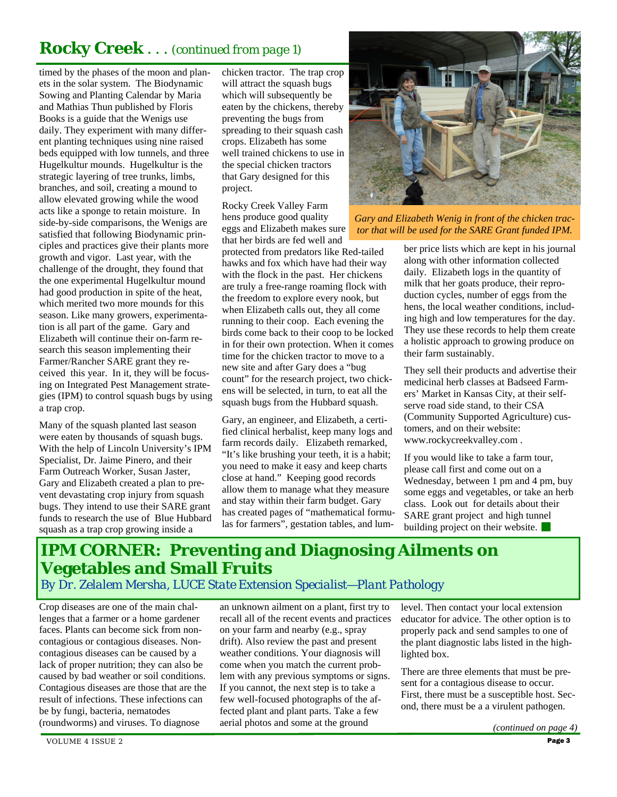# **Rocky Creek** *. . . (continued from page 1)*

timed by the phases of the moon and planets in the solar system. The Biodynamic Sowing and Planting Calendar by Maria and Mathias Thun published by Floris Books is a guide that the Wenigs use daily. They experiment with many different planting techniques using nine raised beds equipped with low tunnels, and three Hugelkultur mounds. Hugelkultur is the strategic layering of tree trunks, limbs, branches, and soil, creating a mound to allow elevated growing while the wood acts like a sponge to retain moisture. In side-by-side comparisons, the Wenigs are satisfied that following Biodynamic principles and practices give their plants more growth and vigor. Last year, with the challenge of the drought, they found that the one experimental Hugelkultur mound had good production in spite of the heat, which merited two more mounds for this season. Like many growers, experimentation is all part of the game. Gary and Elizabeth will continue their on-farm research this season implementing their Farmer/Rancher SARE grant they received this year. In it, they will be focusing on Integrated Pest Management strategies (IPM) to control squash bugs by using a trap crop.

Many of the squash planted last season were eaten by thousands of squash bugs. With the help of Lincoln University's IPM Specialist, Dr. Jaime Pinero, and their Farm Outreach Worker, Susan Jaster, Gary and Elizabeth created a plan to prevent devastating crop injury from squash bugs. They intend to use their SARE grant funds to research the use of Blue Hubbard squash as a trap crop growing inside a

chicken tractor. The trap crop will attract the squash bugs which will subsequently be eaten by the chickens, thereby preventing the bugs from spreading to their squash cash crops. Elizabeth has some well trained chickens to use in the special chicken tractors that Gary designed for this project.

Rocky Creek Valley Farm hens produce good quality eggs and Elizabeth makes sure that her birds are fed well and

protected from predators like Red-tailed hawks and fox which have had their way with the flock in the past. Her chickens are truly a free-range roaming flock with the freedom to explore every nook, but when Elizabeth calls out, they all come running to their coop. Each evening the birds come back to their coop to be locked in for their own protection. When it comes time for the chicken tractor to move to a new site and after Gary does a "bug count" for the research project, two chickens will be selected, in turn, to eat all the squash bugs from the Hubbard squash.

Gary, an engineer, and Elizabeth, a certified clinical herbalist, keep many logs and farm records daily. Elizabeth remarked, "It's like brushing your teeth, it is a habit; you need to make it easy and keep charts close at hand." Keeping good records allow them to manage what they measure and stay within their farm budget. Gary has created pages of "mathematical formulas for farmers", gestation tables, and lum-



*Gary and Elizabeth Wenig in front of the chicken tractor that will be used for the SARE Grant funded IPM.* 

ber price lists which are kept in his journal along with other information collected daily. Elizabeth logs in the quantity of milk that her goats produce, their reproduction cycles, number of eggs from the hens, the local weather conditions, including high and low temperatures for the day. They use these records to help them create a holistic approach to growing produce on their farm sustainably.

They sell their products and advertise their medicinal herb classes at Badseed Farmers' Market in Kansas City, at their selfserve road side stand, to their CSA (Community Supported Agriculture) customers, and on their website: www.rockycreekvalley.com .

If you would like to take a farm tour, please call first and come out on a Wednesday, between 1 pm and 4 pm, buy some eggs and vegetables, or take an herb class. Look out for details about their SARE grant project and high tunnel building project on their website.

# **IPM CORNER: Preventing and Diagnosing Ailments on Vegetables and Small Fruits**  *By Dr. Zelalem Mersha, LUCE State Extension Specialist—Plant Pathology*

Crop diseases are one of the main challenges that a farmer or a home gardener faces. Plants can become sick from noncontagious or contagious diseases. Noncontagious diseases can be caused by a lack of proper nutrition; they can also be caused by bad weather or soil conditions. Contagious diseases are those that are the result of infections. These infections can be by fungi, bacteria, nematodes (roundworms) and viruses. To diagnose

an unknown ailment on a plant, first try to recall all of the recent events and practices on your farm and nearby (e.g., spray drift). Also review the past and present weather conditions. Your diagnosis will come when you match the current problem with any previous symptoms or signs. If you cannot, the next step is to take a few well-focused photographs of the affected plant and plant parts. Take a few aerial photos and some at the ground

level. Then contact your local extension educator for advice. The other option is to properly pack and send samples to one of the plant diagnostic labs listed in the highlighted box.

There are three elements that must be present for a contagious disease to occur. First, there must be a susceptible host. Second, there must be a a virulent pathogen.